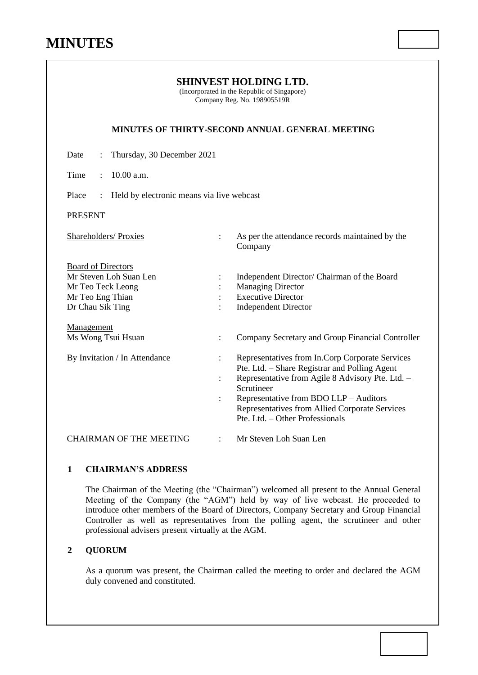| <b>SHINVEST HOLDING LTD.</b><br>(Incorporated in the Republic of Singapore)<br>Company Reg. No. 198905519R       |                                                    |                                                                                                                                                                                                                                                                                                   |  |  |
|------------------------------------------------------------------------------------------------------------------|----------------------------------------------------|---------------------------------------------------------------------------------------------------------------------------------------------------------------------------------------------------------------------------------------------------------------------------------------------------|--|--|
|                                                                                                                  |                                                    | MINUTES OF THIRTY-SECOND ANNUAL GENERAL MEETING                                                                                                                                                                                                                                                   |  |  |
| Date<br>Thursday, 30 December 2021                                                                               |                                                    |                                                                                                                                                                                                                                                                                                   |  |  |
| 10.00 a.m.<br>Time                                                                                               |                                                    |                                                                                                                                                                                                                                                                                                   |  |  |
| Place<br>Held by electronic means via live webcast                                                               |                                                    |                                                                                                                                                                                                                                                                                                   |  |  |
| <b>PRESENT</b>                                                                                                   |                                                    |                                                                                                                                                                                                                                                                                                   |  |  |
| <b>Shareholders/Proxies</b>                                                                                      |                                                    | As per the attendance records maintained by the<br>Company                                                                                                                                                                                                                                        |  |  |
| <b>Board of Directors</b><br>Mr Steven Loh Suan Len<br>Mr Teo Teck Leong<br>Mr Teo Eng Thian<br>Dr Chau Sik Ting | $\ddot{\cdot}$                                     | Independent Director/ Chairman of the Board<br><b>Managing Director</b><br><b>Executive Director</b><br><b>Independent Director</b>                                                                                                                                                               |  |  |
| Management<br>Ms Wong Tsui Hsuan                                                                                 | $\ddot{\cdot}$                                     | Company Secretary and Group Financial Controller                                                                                                                                                                                                                                                  |  |  |
| <b>By Invitation / In Attendance</b>                                                                             | $\ddot{\cdot}$<br>$\ddot{\cdot}$<br>$\ddot{\cdot}$ | Representatives from In.Corp Corporate Services<br>Pte. Ltd. - Share Registrar and Polling Agent<br>Representative from Agile 8 Advisory Pte. Ltd. -<br>Scrutineer<br>Representative from BDO LLP - Auditors<br>Representatives from Allied Corporate Services<br>Pte. Ltd. – Other Professionals |  |  |
| <b>CHAIRMAN OF THE MEETING</b>                                                                                   | $\ddot{\cdot}$                                     | Mr Steven Loh Suan Len                                                                                                                                                                                                                                                                            |  |  |

# **1 CHAIRMAN'S ADDRESS**

The Chairman of the Meeting (the "Chairman") welcomed all present to the Annual General Meeting of the Company (the "AGM") held by way of live webcast. He proceeded to introduce other members of the Board of Directors, Company Secretary and Group Financial Controller as well as representatives from the polling agent, the scrutineer and other professional advisers present virtually at the AGM.

# **2 QUORUM**

As a quorum was present, the Chairman called the meeting to order and declared the AGM duly convened and constituted.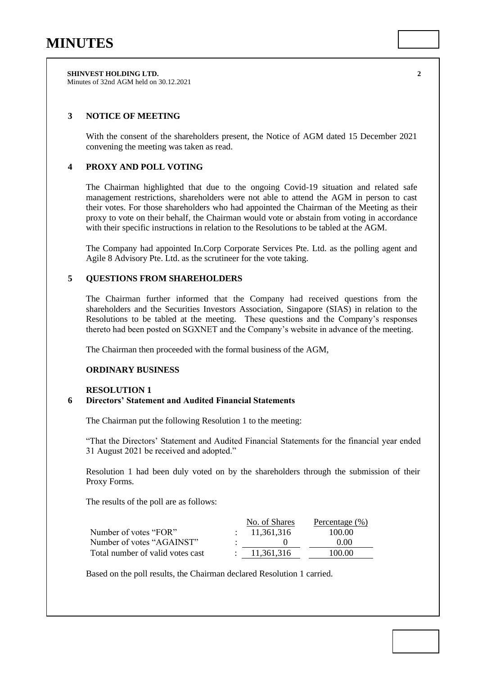**SHINVEST HOLDING LTD. 2** Minutes of 32nd AGM held on 30.12.2021

## **3 NOTICE OF MEETING**

With the consent of the shareholders present, the Notice of AGM dated 15 December 2021 convening the meeting was taken as read.

### **4 PROXY AND POLL VOTING**

The Chairman highlighted that due to the ongoing Covid-19 situation and related safe management restrictions, shareholders were not able to attend the AGM in person to cast their votes. For those shareholders who had appointed the Chairman of the Meeting as their proxy to vote on their behalf, the Chairman would vote or abstain from voting in accordance with their specific instructions in relation to the Resolutions to be tabled at the AGM.

The Company had appointed In.Corp Corporate Services Pte. Ltd. as the polling agent and Agile 8 Advisory Pte. Ltd. as the scrutineer for the vote taking.

## **5 QUESTIONS FROM SHAREHOLDERS**

The Chairman further informed that the Company had received questions from the shareholders and the Securities Investors Association, Singapore (SIAS) in relation to the Resolutions to be tabled at the meeting. These questions and the Company's responses thereto had been posted on SGXNET and the Company's website in advance of the meeting.

The Chairman then proceeded with the formal business of the AGM,

#### **ORDINARY BUSINESS**

#### **RESOLUTION 1**

#### **6 Directors' Statement and Audited Financial Statements**

The Chairman put the following Resolution 1 to the meeting:

"That the Directors' Statement and Audited Financial Statements for the financial year ended 31 August 2021 be received and adopted."

Resolution 1 had been duly voted on by the shareholders through the submission of their Proxy Forms.

The results of the poll are as follows:

|                                  | No. of Shares | Percentage (%) |
|----------------------------------|---------------|----------------|
| Number of votes "FOR"            | : 11.361.316  | 100.00         |
| Number of votes "AGAINST"        |               | 0.00           |
| Total number of valid votes cast | 11.361.316    | 100.00         |

Based on the poll results, the Chairman declared Resolution 1 carried.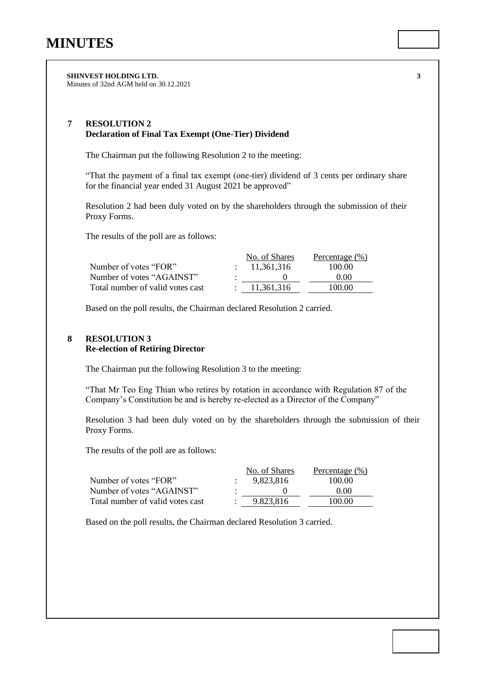**SHINVEST HOLDING LTD. 3** Minutes of 32nd AGM held on 30.12.2021

## **7 RESOLUTION 2 Declaration of Final Tax Exempt (One-Tier) Dividend**

The Chairman put the following Resolution 2 to the meeting:

"That the payment of a final tax exempt (one-tier) dividend of 3 cents per ordinary share for the financial year ended 31 August 2021 be approved"

Resolution 2 had been duly voted on by the shareholders through the submission of their Proxy Forms.

The results of the poll are as follows:

|                                  | No. of Shares | Percentage (%) |
|----------------------------------|---------------|----------------|
| Number of votes "FOR"            | : 11.361.316  | 100.00         |
| Number of votes "AGAINST"        |               | 0.00           |
| Total number of valid votes cast | 11.361.316    | 100.00         |

Based on the poll results, the Chairman declared Resolution 2 carried.

## **8 RESOLUTION 3 Re-election of Retiring Director**

The Chairman put the following Resolution 3 to the meeting:

"That Mr Teo Eng Thian who retires by rotation in accordance with Regulation 87 of the Company's Constitution be and is hereby re-elected as a Director of the Company"

Resolution 3 had been duly voted on by the shareholders through the submission of their Proxy Forms.

The results of the poll are as follows:

| No. of Shares | Percentage (%) |
|---------------|----------------|
| 9.823.816     | 100.00         |
|               | 0.00           |
| 9.823.816     | 100.00         |
|               |                |

Based on the poll results, the Chairman declared Resolution 3 carried.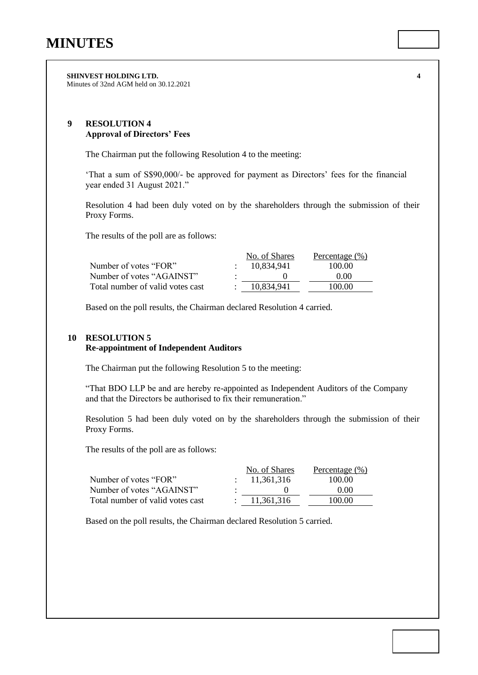**SHINVEST HOLDING LTD. 4** Minutes of 32nd AGM held on 30.12.2021

## **9 RESOLUTION 4 Approval of Directors' Fees**

The Chairman put the following Resolution 4 to the meeting:

'That a sum of S\$90,000/- be approved for payment as Directors' fees for the financial year ended 31 August 2021."

Resolution 4 had been duly voted on by the shareholders through the submission of their Proxy Forms.

The results of the poll are as follows:

|                                  | No. of Shares | Percentage (%) |
|----------------------------------|---------------|----------------|
| Number of votes "FOR"            | 10.834.941    | 100.00         |
| Number of votes "AGAINST"        |               | 0.00           |
| Total number of valid votes cast | 10.834.941    | 100.00         |

Based on the poll results, the Chairman declared Resolution 4 carried.

## **10 RESOLUTION 5**

### **Re-appointment of Independent Auditors**

The Chairman put the following Resolution 5 to the meeting:

"That BDO LLP be and are hereby re-appointed as Independent Auditors of the Company and that the Directors be authorised to fix their remuneration."

Resolution 5 had been duly voted on by the shareholders through the submission of their Proxy Forms.

The results of the poll are as follows:

|                                  | No. of Shares | Percentage $(\% )$ |
|----------------------------------|---------------|--------------------|
| Number of votes "FOR"            | : 11.361.316  | 100.00             |
| Number of votes "AGAINST"        |               | 0.00               |
| Total number of valid votes cast | 11.361.316    | 100.00             |

Based on the poll results, the Chairman declared Resolution 5 carried.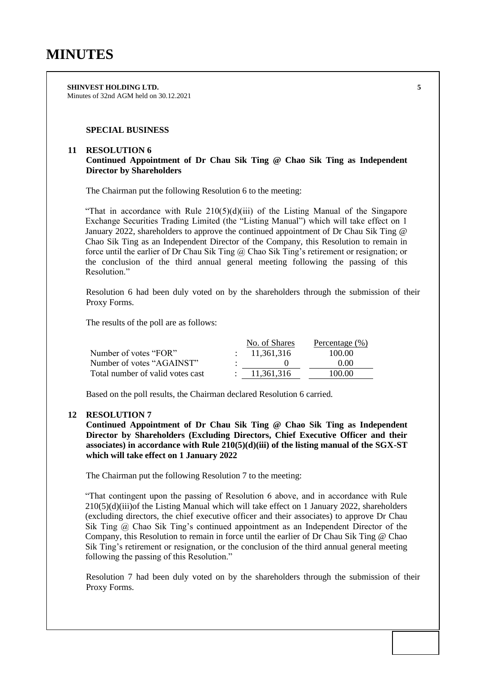**SHINVEST HOLDING LTD. 5** Minutes of 32nd AGM held on 30.12.2021

## **SPECIAL BUSINESS**

#### **11 RESOLUTION 6**

**Continued Appointment of Dr Chau Sik Ting @ Chao Sik Ting as Independent Director by Shareholders**

The Chairman put the following Resolution 6 to the meeting:

"That in accordance with Rule  $210(5)(d)(iii)$  of the Listing Manual of the Singapore Exchange Securities Trading Limited (the "Listing Manual") which will take effect on 1 January 2022, shareholders to approve the continued appointment of Dr Chau Sik Ting @ Chao Sik Ting as an Independent Director of the Company, this Resolution to remain in force until the earlier of Dr Chau Sik Ting @ Chao Sik Ting's retirement or resignation; or the conclusion of the third annual general meeting following the passing of this Resolution."

Resolution 6 had been duly voted on by the shareholders through the submission of their Proxy Forms.

The results of the poll are as follows:

|                                  | No. of Shares | Percentage (%) |
|----------------------------------|---------------|----------------|
| Number of votes "FOR"            | 11.361.316    | 100.00         |
| Number of votes "AGAINST"        |               | 0.00           |
| Total number of valid votes cast | 11.361.316    | 100.00         |

Based on the poll results, the Chairman declared Resolution 6 carried.

### **12 RESOLUTION 7**

**Continued Appointment of Dr Chau Sik Ting @ Chao Sik Ting as Independent Director by Shareholders (Excluding Directors, Chief Executive Officer and their associates) in accordance with Rule 210(5)(d)(iii) of the listing manual of the SGX-ST which will take effect on 1 January 2022**

The Chairman put the following Resolution 7 to the meeting:

"That contingent upon the passing of Resolution 6 above, and in accordance with Rule  $210(5)(d)(iii)$ of the Listing Manual which will take effect on 1 January 2022, shareholders (excluding directors, the chief executive officer and their associates) to approve Dr Chau Sik Ting @ Chao Sik Ting's continued appointment as an Independent Director of the Company, this Resolution to remain in force until the earlier of Dr Chau Sik Ting @ Chao Sik Ting's retirement or resignation, or the conclusion of the third annual general meeting following the passing of this Resolution."

Resolution 7 had been duly voted on by the shareholders through the submission of their Proxy Forms.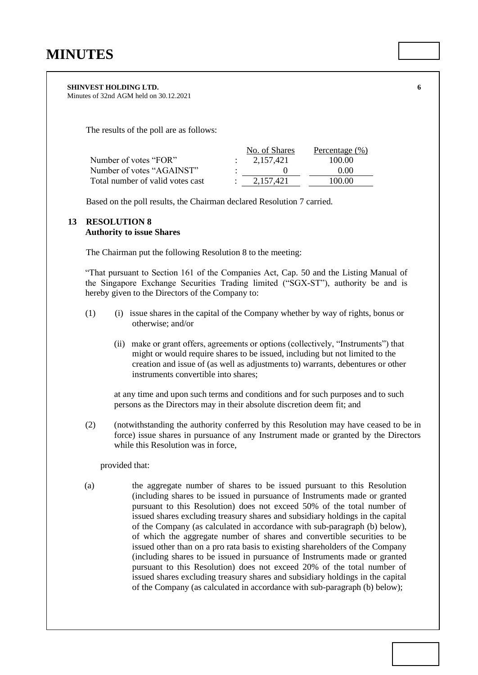#### **SHINVEST HOLDING LTD. 6**

Minutes of 32nd AGM held on 30.12.2021

The results of the poll are as follows:

|                                  | No. of Shares | Percentage (%) |
|----------------------------------|---------------|----------------|
| Number of votes "FOR"            | 2.157.421     | 100.00         |
| Number of votes "AGAINST"        |               | 0.00           |
| Total number of valid votes cast | 2.157.421     | 100.00         |

Based on the poll results, the Chairman declared Resolution 7 carried.

# **13 RESOLUTION 8**

### **Authority to issue Shares**

The Chairman put the following Resolution 8 to the meeting:

"That pursuant to Section 161 of the Companies Act, Cap. 50 and the Listing Manual of the Singapore Exchange Securities Trading limited ("SGX-ST"), authority be and is hereby given to the Directors of the Company to:

- (1) (i) issue shares in the capital of the Company whether by way of rights, bonus or otherwise; and/or
	- (ii)make or grant offers, agreements or options (collectively, "Instruments") that might or would require shares to be issued, including but not limited to the creation and issue of (as well as adjustments to) warrants, debentures or other instruments convertible into shares;

at any time and upon such terms and conditions and for such purposes and to such persons as the Directors may in their absolute discretion deem fit; and

(2) (notwithstanding the authority conferred by this Resolution may have ceased to be in force) issue shares in pursuance of any Instrument made or granted by the Directors while this Resolution was in force,

#### provided that:

(a) the aggregate number of shares to be issued pursuant to this Resolution (including shares to be issued in pursuance of Instruments made or granted pursuant to this Resolution) does not exceed 50% of the total number of issued shares excluding treasury shares and subsidiary holdings in the capital of the Company (as calculated in accordance with sub-paragraph (b) below), of which the aggregate number of shares and convertible securities to be issued other than on a pro rata basis to existing shareholders of the Company (including shares to be issued in pursuance of Instruments made or granted pursuant to this Resolution) does not exceed 20% of the total number of issued shares excluding treasury shares and subsidiary holdings in the capital of the Company (as calculated in accordance with sub-paragraph (b) below);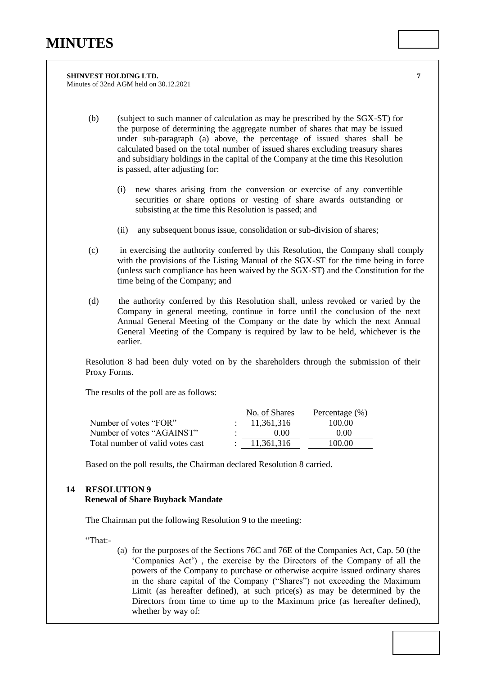**SHINVEST HOLDING LTD. 7** Minutes of 32nd AGM held on 30.12.2021

- (b) (subject to such manner of calculation as may be prescribed by the SGX-ST) for the purpose of determining the aggregate number of shares that may be issued under sub-paragraph (a) above, the percentage of issued shares shall be calculated based on the total number of issued shares excluding treasury shares and subsidiary holdings in the capital of the Company at the time this Resolution is passed, after adjusting for:
	- (i) new shares arising from the conversion or exercise of any convertible securities or share options or vesting of share awards outstanding or subsisting at the time this Resolution is passed; and
	- (ii) any subsequent bonus issue, consolidation or sub-division of shares;
- (c) in exercising the authority conferred by this Resolution, the Company shall comply with the provisions of the Listing Manual of the SGX-ST for the time being in force (unless such compliance has been waived by the SGX-ST) and the Constitution for the time being of the Company; and
- (d) the authority conferred by this Resolution shall, unless revoked or varied by the Company in general meeting, continue in force until the conclusion of the next Annual General Meeting of the Company or the date by which the next Annual General Meeting of the Company is required by law to be held, whichever is the earlier.

Resolution 8 had been duly voted on by the shareholders through the submission of their Proxy Forms.

The results of the poll are as follows:

|                                  | No. of Shares | Percentage (%) |
|----------------------------------|---------------|----------------|
| Number of votes "FOR"            | : 11,361,316  | 100.00         |
| Number of votes "AGAINST"        | 000           | 0.00           |
| Total number of valid votes cast | 11.361.316    | 100.00         |

Based on the poll results, the Chairman declared Resolution 8 carried.

# **14 RESOLUTION 9 Renewal of Share Buyback Mandate**

The Chairman put the following Resolution 9 to the meeting:

"That:-

(a) for the purposes of the Sections 76C and 76E of the Companies Act, Cap. 50 (the 'Companies Act') , the exercise by the Directors of the Company of all the powers of the Company to purchase or otherwise acquire issued ordinary shares in the share capital of the Company ("Shares") not exceeding the Maximum Limit (as hereafter defined), at such price(s) as may be determined by the Directors from time to time up to the Maximum price (as hereafter defined), whether by way of: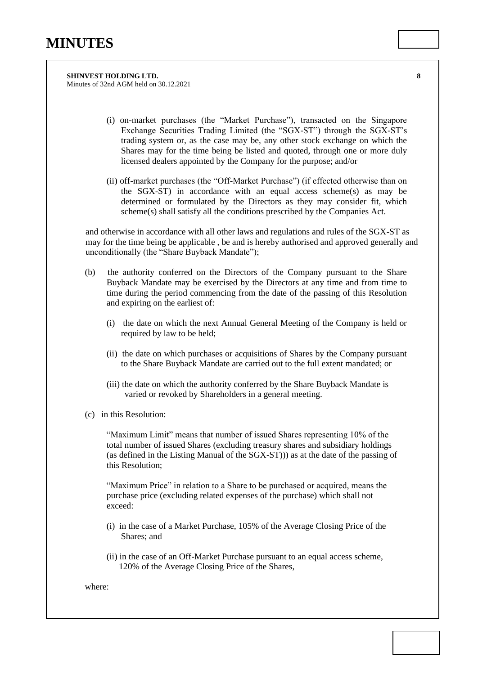**SHINVEST HOLDING LTD. 8** Minutes of 32nd AGM held on 30.12.2021

- (i) on-market purchases (the "Market Purchase"), transacted on the Singapore Exchange Securities Trading Limited (the "SGX-ST") through the SGX-ST's trading system or, as the case may be, any other stock exchange on which the Shares may for the time being be listed and quoted, through one or more duly licensed dealers appointed by the Company for the purpose; and/or
- (ii) off-market purchases (the "Off-Market Purchase") (if effected otherwise than on the SGX-ST) in accordance with an equal access scheme(s) as may be determined or formulated by the Directors as they may consider fit, which scheme(s) shall satisfy all the conditions prescribed by the Companies Act.

and otherwise in accordance with all other laws and regulations and rules of the SGX-ST as may for the time being be applicable , be and is hereby authorised and approved generally and unconditionally (the "Share Buyback Mandate");

- (b) the authority conferred on the Directors of the Company pursuant to the Share Buyback Mandate may be exercised by the Directors at any time and from time to time during the period commencing from the date of the passing of this Resolution and expiring on the earliest of:
	- (i) the date on which the next Annual General Meeting of the Company is held or required by law to be held;
	- (ii) the date on which purchases or acquisitions of Shares by the Company pursuant to the Share Buyback Mandate are carried out to the full extent mandated; or
	- (iii) the date on which the authority conferred by the Share Buyback Mandate is varied or revoked by Shareholders in a general meeting.
- (c) in this Resolution:

"Maximum Limit" means that number of issued Shares representing 10% of the total number of issued Shares (excluding treasury shares and subsidiary holdings (as defined in the Listing Manual of the SGX-ST))) as at the date of the passing of this Resolution;

"Maximum Price" in relation to a Share to be purchased or acquired, means the purchase price (excluding related expenses of the purchase) which shall not exceed:

- (i) in the case of a Market Purchase, 105% of the Average Closing Price of the Shares; and
- (ii) in the case of an Off-Market Purchase pursuant to an equal access scheme, 120% of the Average Closing Price of the Shares,

where: